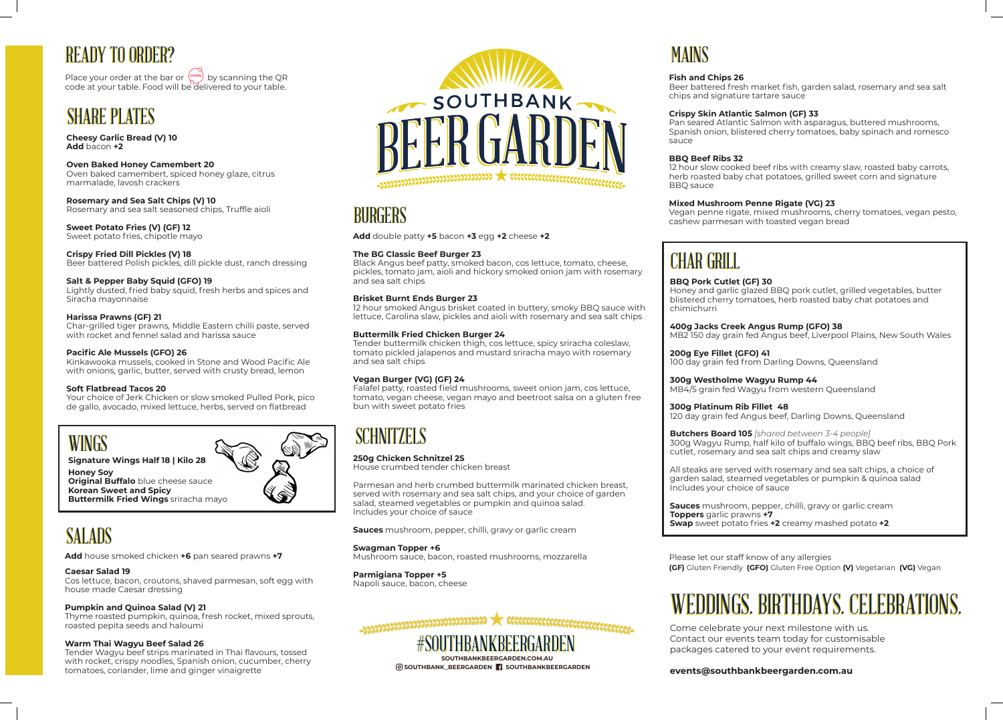**Add** double patty **+5** bacon **+3** egg **+2** cheese **+2**

## **The BG Classic Beef Burger 23**

Black Angus beef patty, smoked bacon, cos lettuce, tomato, cheese, pickles, tomato jam, aioli and hickory smoked onion jam with rosemary and sea salt chips

## **Brisket Burnt Ends Burger 23**

12 hour smoked Angus brisket coated in buttery, smoky BBQ sauce with lettuce, Carolina slaw, pickles and aioli with rosemary and sea salt chips

## **Buttermilk Fried Chicken Burger 24**

Tender buttermilk chicken thigh, cos lettuce, spicy sriracha coleslaw, tomato pickled jalapenos and mustard sriracha mayo with rosemary and sea salt chips

## **Vegan Burger (VG) (GF) 24**

Falafel patty, roasted field mushrooms, sweet onion jam, cos lettuce, tomato, vegan cheese, vegan mayo and beetroot salsa on a gluten free bun with sweet potato fries

# **SCHNITZELS**

#SOUTHBANKBEERGARDEN **SOUTHBANKBEERGARDEN.COM.AU** #SOUTHBANKBEERGARDEN

**SOUTHBANK\_BEERGARDEN SOUTHBANKBEERGARDEN**

## **250g Chicken Schnitzel 25**

House crumbed tender chicken breast

Parmesan and herb crumbed buttermilk marinated chicken breast, served with rosemary and sea salt chips, and your choice of garden salad, steamed vegetables or pumpkin and quinoa salad. Includes your choice of sauce

# **READY TO ORDER?**

Place your order at the bar or  $\int_{\mathbb{R}^d}^{\text{meas}}$  by scanning the QR code at your table. Food will be delivered to your table.

## **SHARE PLATES**

**Sauces** mushroom, pepper, chilli, gravy or garlic cream

**Swagman Topper +6** 

Mushroom sauce, bacon, roasted mushrooms, mozzarella

**Parmigiana Topper +5** Napoli sauce, bacon, cheese



Come celebrate your next milestone with us. Contact our events team today for customisable packages catered to your event requirements.



# WEDDINGS. BIRTHDAYS. CELEBRATIONS. WEDDINGS. BIRTHDAYS. CELEBRATIONS.

## **events@southbankbeergarden.com.au**

# MAINS

**Add** house smoked chicken **+6** pan seared prawns **+7**

### **Caesar Salad 19**

Cos lettuce, bacon, croutons, shaved parmesan, soft egg with house made Caesar dressing

## **Pumpkin and Quinoa Salad (V) 21**

Thyme roasted pumpkin, quinoa, fresh rocket, mixed sprouts, roasted pepita seeds and haloumi

## **Warm Thai Wagyu Beef Salad 26**

Tender Wagyu beef strips marinated in Thai flavours, tossed with rocket, crispy noodles, Spanish onion, cucumber, cherry tomatoes, coriander, lime and ginger vinaigrette



# **BURGERS**

# SALADS



## **Signature Wings Half 18 | Kilo 28**

**Honey Soy Original Buffalo** blue cheese sauce **Korean Sweet and Spicy Buttermilk Fried Wings** sriracha mayo

> Please let our staff know of any allergies **(GF)** Gluten Friendly **(GFO)** Gluten Free Option **(V)** Vegetarian **(VG)** Vegan

**Cheesy Garlic Bread (V) 10 Add** bacon **+2**

**Oven Baked Honey Camembert 20** Oven baked camembert, spiced honey glaze, citrus marmalade, lavosh crackers

**Rosemary and Sea Salt Chips (V) 10** Rosemary and sea salt seasoned chips, Truffle aioli

**Sweet Potato Fries (V) (GF) 12** Sweet potato fries, chipotle mayo

**Crispy Fried Dill Pickles (V) 18** Beer battered Polish pickles, dill pickle dust, ranch dressing

## **Salt & Pepper Baby Squid (GFO) 19**

Lightly dusted, fried baby squid, fresh herbs and spices and Siracha mayonnaise

## **Harissa Prawns (GF) 21**

Char-grilled tiger prawns, Middle Eastern chilli paste, served with rocket and fennel salad and harissa sauce

## **Pacific Ale Mussels (GFO) 26**

Kinkawooka mussels, cooked in Stone and Wood Pacific Ale with onions, garlic, butter, served with crusty bread, lemon

### **Soft Flatbread Tacos 20**

Your choice of Jerk Chicken or slow smoked Pulled Pork, pico de gallo, avocado, mixed lettuce, herbs, served on flatbread

**Fish and Chips 26**

Beer battered fresh market fish, garden salad, rosemary and sea salt chips and signature tartare sauce

## **Crispy Skin Atlantic Salmon (GF) 33**

Pan seared Atlantic Salmon with asparagus, buttered mushrooms, Spanish onion, blistered cherry tomatoes, baby spinach and romesco

sauce

**BBQ Beef Ribs 32** BBQ sauce

12 hour slow cooked beef ribs with creamy slaw, roasted baby carrots, herb roasted baby chat potatoes, grilled sweet corn and signature

**Mixed Mushroom Penne Rigate (VG) 23** Vegan penne rigate, mixed mushrooms, cherry tomatoes, vegan pesto, cashew parmesan with toasted vegan bread

# **CHAR GRILL**

**BBQ Pork Cutlet (GF) 30** chimichurri

Honey and garlic glazed BBQ pork cutlet, grilled vegetables, butter blistered cherry tomatoes, herb roasted baby chat potatoes and

## **400g Jacks Creek Angus Rump (GFO) 38**

MB2 150 day grain fed Angus beef, Liverpool Plains, New South Wales

**200g Eye Fillet (GFO) 41**

## 100 day grain fed from Darling Downs, Queensland

**300g Westholme Wagyu Rump 44**

MB4/5 grain fed Wagyu from western Queensland

**300g Platinum Rib Fillet 48** 120 day grain fed Angus beef, Darling Downs, Queensland

**Butchers Board 105** *[shared between 3-4 people]* 300g Wagyu Rump, half kilo of buffalo wings, BBQ beef ribs, BBQ Pork cutlet, rosemary and sea salt chips and creamy slaw

All steaks are served with rosemary and sea salt chips, a choice of garden salad, steamed vegetables or pumpkin & quinoa salad Includes your choice of sauce

**Sauces** mushroom, pepper, chilli, gravy or garlic cream **Toppers** garlic prawns **+7 Swap** sweet potato fries **+2** creamy mashed potato **+2**